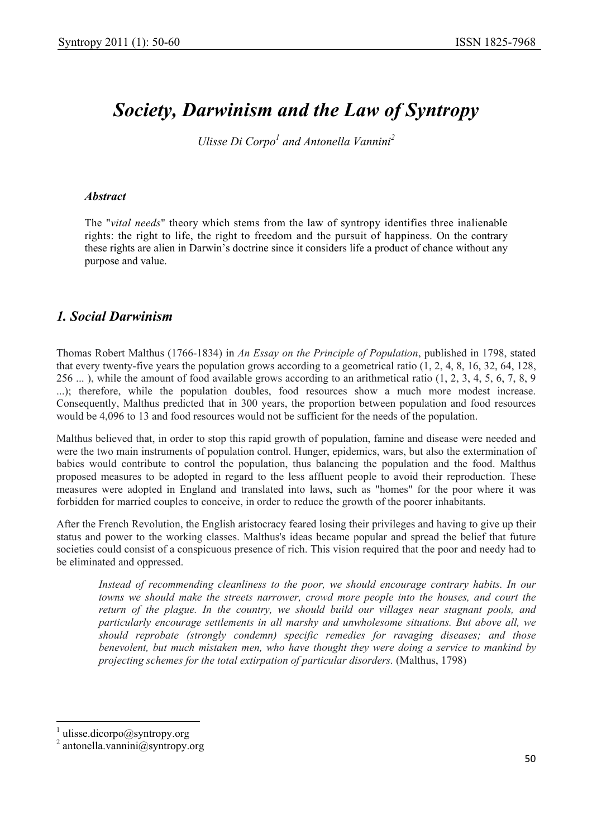# *Society, Darwinism and the Law of Syntropy*

*Ulisse Di Corpo<sup>1</sup> and Antonella Vannini*<sup>2</sup>

#### *Abstract*

The "*vital needs*" theory which stems from the law of syntropy identifies three inalienable rights: the right to life, the right to freedom and the pursuit of happiness. On the contrary these rights are alien in Darwin's doctrine since it considers life a product of chance without any purpose and value.

#### *1. Social Darwinism*

Thomas Robert Malthus (1766-1834) in *An Essay on the Principle of Population*, published in 1798, stated that every twenty-five years the population grows according to a geometrical ratio (1, 2, 4, 8, 16, 32, 64, 128, 256 ... ), while the amount of food available grows according to an arithmetical ratio (1, 2, 3, 4, 5, 6, 7, 8, 9 ...); therefore, while the population doubles, food resources show a much more modest increase. Consequently, Malthus predicted that in 300 years, the proportion between population and food resources would be 4,096 to 13 and food resources would not be sufficient for the needs of the population.

Malthus believed that, in order to stop this rapid growth of population, famine and disease were needed and were the two main instruments of population control. Hunger, epidemics, wars, but also the extermination of babies would contribute to control the population, thus balancing the population and the food. Malthus proposed measures to be adopted in regard to the less affluent people to avoid their reproduction. These measures were adopted in England and translated into laws, such as "homes" for the poor where it was forbidden for married couples to conceive, in order to reduce the growth of the poorer inhabitants.

After the French Revolution, the English aristocracy feared losing their privileges and having to give up their status and power to the working classes. Malthus's ideas became popular and spread the belief that future societies could consist of a conspicuous presence of rich. This vision required that the poor and needy had to be eliminated and oppressed.

*Instead of recommending cleanliness to the poor, we should encourage contrary habits. In our towns we should make the streets narrower, crowd more people into the houses, and court the return of the plague. In the country, we should build our villages near stagnant pools, and particularly encourage settlements in all marshy and unwholesome situations. But above all, we should reprobate (strongly condemn) specific remedies for ravaging diseases; and those benevolent, but much mistaken men, who have thought they were doing a service to mankind by projecting schemes for the total extirpation of particular disorders.* (Malthus, 1798)

 $\overline{\phantom{a}}$ 

<sup>1</sup> ulisse.dicorpo@syntropy.org

<sup>2</sup> antonella.vannini@syntropy.org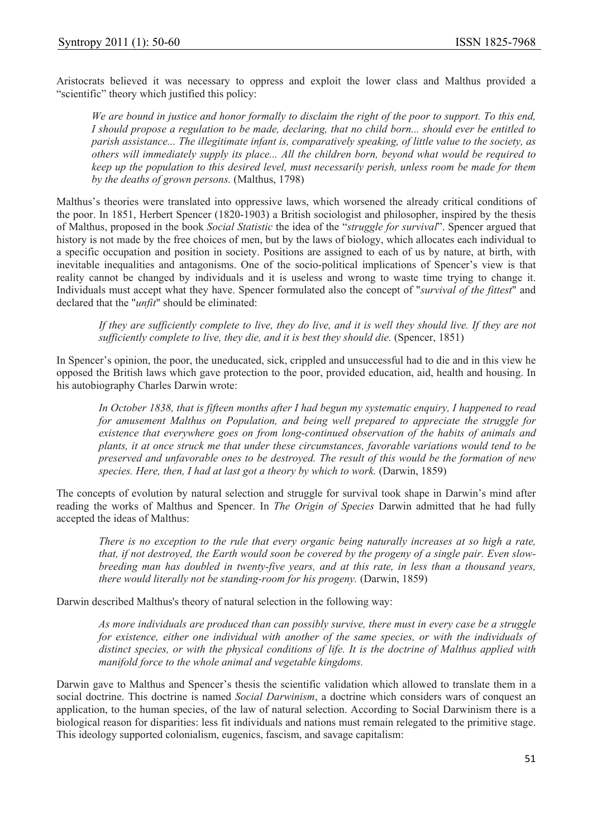Aristocrats believed it was necessary to oppress and exploit the lower class and Malthus provided a "scientific" theory which justified this policy:

*We are bound in justice and honor formally to disclaim the right of the poor to support. To this end, I should propose a regulation to be made, declaring, that no child born... should ever be entitled to parish assistance... The illegitimate infant is, comparatively speaking, of little value to the society, as others will immediately supply its place... All the children born, beyond what would be required to keep up the population to this desired level, must necessarily perish, unless room be made for them by the deaths of grown persons.* (Malthus, 1798)

Malthus's theories were translated into oppressive laws, which worsened the already critical conditions of the poor. In 1851, Herbert Spencer (1820-1903) a British sociologist and philosopher, inspired by the thesis of Malthus, proposed in the book *Social Statistic* the idea of the "*struggle for survival*". Spencer argued that history is not made by the free choices of men, but by the laws of biology, which allocates each individual to a specific occupation and position in society. Positions are assigned to each of us by nature, at birth, with inevitable inequalities and antagonisms. One of the socio-political implications of Spencer's view is that reality cannot be changed by individuals and it is useless and wrong to waste time trying to change it. Individuals must accept what they have. Spencer formulated also the concept of "*survival of the fittest*" and declared that the "*unfit*" should be eliminated:

*If they are sufficiently complete to live, they do live, and it is well they should live. If they are not sufficiently complete to live, they die, and it is best they should die.* (Spencer, 1851)

In Spencer's opinion, the poor, the uneducated, sick, crippled and unsuccessful had to die and in this view he opposed the British laws which gave protection to the poor, provided education, aid, health and housing. In his autobiography Charles Darwin wrote:

*In October 1838, that is fifteen months after I had begun my systematic enquiry, I happened to read for amusement Malthus on Population, and being well prepared to appreciate the struggle for existence that everywhere goes on from long-continued observation of the habits of animals and plants, it at once struck me that under these circumstances, favorable variations would tend to be preserved and unfavorable ones to be destroyed. The result of this would be the formation of new species. Here, then, I had at last got a theory by which to work.* (Darwin, 1859)

The concepts of evolution by natural selection and struggle for survival took shape in Darwin's mind after reading the works of Malthus and Spencer. In *The Origin of Species* Darwin admitted that he had fully accepted the ideas of Malthus:

*There is no exception to the rule that every organic being naturally increases at so high a rate, that, if not destroyed, the Earth would soon be covered by the progeny of a single pair. Even slowbreeding man has doubled in twenty-five years, and at this rate, in less than a thousand years, there would literally not be standing-room for his progeny.* (Darwin, 1859)

Darwin described Malthus's theory of natural selection in the following way:

*As more individuals are produced than can possibly survive, there must in every case be a struggle for existence, either one individual with another of the same species, or with the individuals of distinct species, or with the physical conditions of life. It is the doctrine of Malthus applied with manifold force to the whole animal and vegetable kingdoms.* 

Darwin gave to Malthus and Spencer's thesis the scientific validation which allowed to translate them in a social doctrine. This doctrine is named *Social Darwinism*, a doctrine which considers wars of conquest an application, to the human species, of the law of natural selection. According to Social Darwinism there is a biological reason for disparities: less fit individuals and nations must remain relegated to the primitive stage. This ideology supported colonialism, eugenics, fascism, and savage capitalism: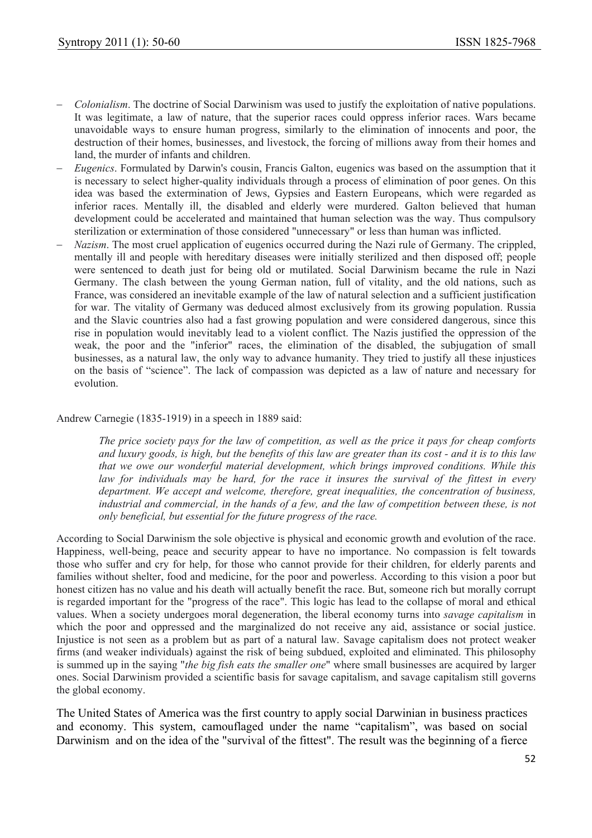- *Colonialism*. The doctrine of Social Darwinism was used to justify the exploitation of native populations. It was legitimate, a law of nature, that the superior races could oppress inferior races. Wars became unavoidable ways to ensure human progress, similarly to the elimination of innocents and poor, the destruction of their homes, businesses, and livestock, the forcing of millions away from their homes and land, the murder of infants and children.
- *Eugenics*. Formulated by Darwin's cousin, Francis Galton, eugenics was based on the assumption that it is necessary to select higher-quality individuals through a process of elimination of poor genes. On this idea was based the extermination of Jews, Gypsies and Eastern Europeans, which were regarded as inferior races. Mentally ill, the disabled and elderly were murdered. Galton believed that human development could be accelerated and maintained that human selection was the way. Thus compulsory sterilization or extermination of those considered "unnecessary" or less than human was inflicted.
- *Nazism*. The most cruel application of eugenics occurred during the Nazi rule of Germany. The crippled, mentally ill and people with hereditary diseases were initially sterilized and then disposed off; people were sentenced to death just for being old or mutilated. Social Darwinism became the rule in Nazi Germany. The clash between the young German nation, full of vitality, and the old nations, such as France, was considered an inevitable example of the law of natural selection and a sufficient justification for war. The vitality of Germany was deduced almost exclusively from its growing population. Russia and the Slavic countries also had a fast growing population and were considered dangerous, since this rise in population would inevitably lead to a violent conflict. The Nazis justified the oppression of the weak, the poor and the "inferior" races, the elimination of the disabled, the subjugation of small businesses, as a natural law, the only way to advance humanity. They tried to justify all these injustices on the basis of "science". The lack of compassion was depicted as a law of nature and necessary for evolution.

Andrew Carnegie (1835-1919) in a speech in 1889 said:

*The price society pays for the law of competition, as well as the price it pays for cheap comforts and luxury goods, is high, but the benefits of this law are greater than its cost - and it is to this law that we owe our wonderful material development, which brings improved conditions. While this law for individuals may be hard, for the race it insures the survival of the fittest in every department. We accept and welcome, therefore, great inequalities, the concentration of business, industrial and commercial, in the hands of a few, and the law of competition between these, is not only beneficial, but essential for the future progress of the race.* 

According to Social Darwinism the sole objective is physical and economic growth and evolution of the race. Happiness, well-being, peace and security appear to have no importance. No compassion is felt towards those who suffer and cry for help, for those who cannot provide for their children, for elderly parents and families without shelter, food and medicine, for the poor and powerless. According to this vision a poor but honest citizen has no value and his death will actually benefit the race. But, someone rich but morally corrupt is regarded important for the "progress of the race". This logic has lead to the collapse of moral and ethical values. When a society undergoes moral degeneration, the liberal economy turns into *savage capitalism* in which the poor and oppressed and the marginalized do not receive any aid, assistance or social justice. Injustice is not seen as a problem but as part of a natural law. Savage capitalism does not protect weaker firms (and weaker individuals) against the risk of being subdued, exploited and eliminated. This philosophy is summed up in the saying "*the big fish eats the smaller one*" where small businesses are acquired by larger ones. Social Darwinism provided a scientific basis for savage capitalism, and savage capitalism still governs the global economy.

The United States of America was the first country to apply social Darwinian in business practices and economy. This system, camouflaged under the name "capitalism", was based on social Darwinism and on the idea of the "survival of the fittest". The result was the beginning of a fierce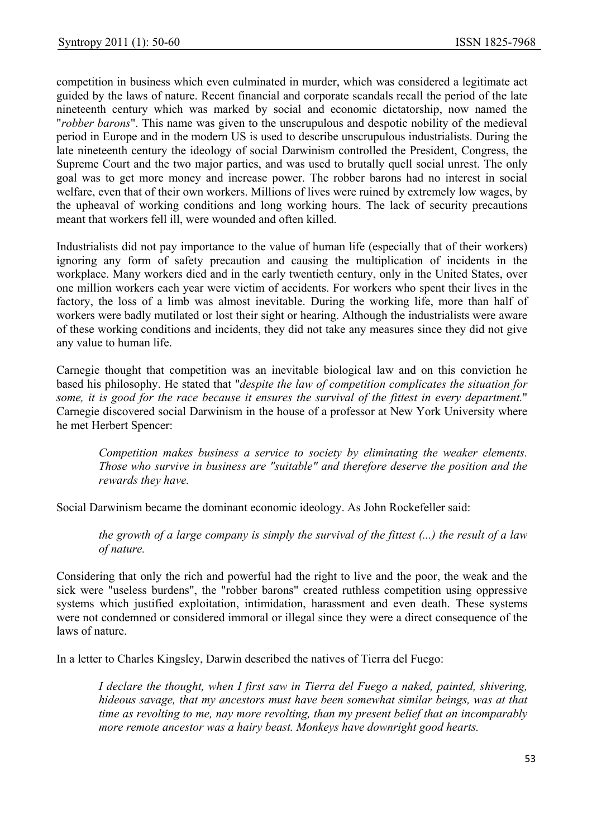competition in business which even culminated in murder, which was considered a legitimate act guided by the laws of nature. Recent financial and corporate scandals recall the period of the late nineteenth century which was marked by social and economic dictatorship, now named the "*robber barons*". This name was given to the unscrupulous and despotic nobility of the medieval period in Europe and in the modern US is used to describe unscrupulous industrialists. During the late nineteenth century the ideology of social Darwinism controlled the President, Congress, the Supreme Court and the two major parties, and was used to brutally quell social unrest. The only goal was to get more money and increase power. The robber barons had no interest in social welfare, even that of their own workers. Millions of lives were ruined by extremely low wages, by the upheaval of working conditions and long working hours. The lack of security precautions meant that workers fell ill, were wounded and often killed.

Industrialists did not pay importance to the value of human life (especially that of their workers) ignoring any form of safety precaution and causing the multiplication of incidents in the workplace. Many workers died and in the early twentieth century, only in the United States, over one million workers each year were victim of accidents. For workers who spent their lives in the factory, the loss of a limb was almost inevitable. During the working life, more than half of workers were badly mutilated or lost their sight or hearing. Although the industrialists were aware of these working conditions and incidents, they did not take any measures since they did not give any value to human life.

Carnegie thought that competition was an inevitable biological law and on this conviction he based his philosophy. He stated that "*despite the law of competition complicates the situation for some, it is good for the race because it ensures the survival of the fittest in every department.*" Carnegie discovered social Darwinism in the house of a professor at New York University where he met Herbert Spencer:

*Competition makes business a service to society by eliminating the weaker elements. Those who survive in business are "suitable" and therefore deserve the position and the rewards they have.* 

Social Darwinism became the dominant economic ideology. As John Rockefeller said:

*the growth of a large company is simply the survival of the fittest (...) the result of a law of nature.* 

Considering that only the rich and powerful had the right to live and the poor, the weak and the sick were "useless burdens", the "robber barons" created ruthless competition using oppressive systems which justified exploitation, intimidation, harassment and even death. These systems were not condemned or considered immoral or illegal since they were a direct consequence of the laws of nature.

In a letter to Charles Kingsley, Darwin described the natives of Tierra del Fuego:

*I declare the thought, when I first saw in Tierra del Fuego a naked, painted, shivering, hideous savage, that my ancestors must have been somewhat similar beings, was at that time as revolting to me, nay more revolting, than my present belief that an incomparably more remote ancestor was a hairy beast. Monkeys have downright good hearts.*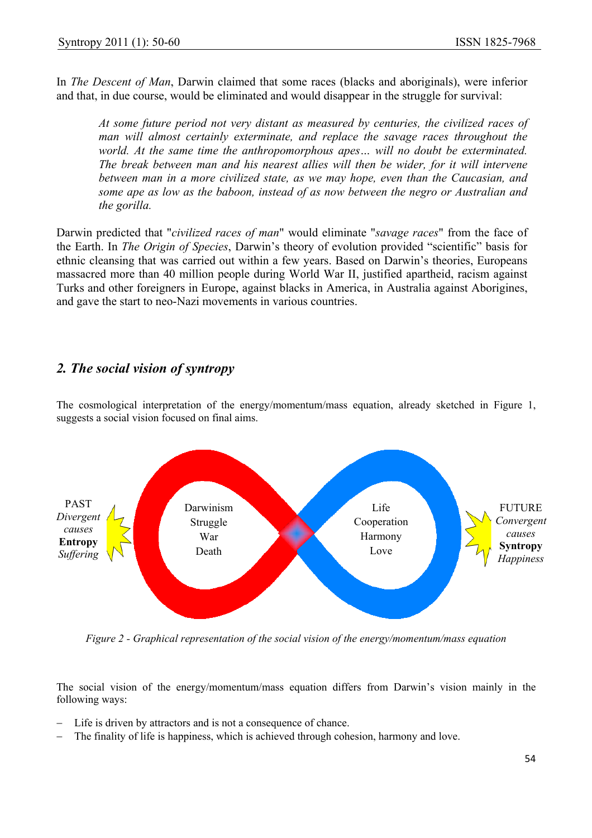In *The Descent of Man*, Darwin claimed that some races (blacks and aboriginals), were inferior and that, in due course, would be eliminated and would disappear in the struggle for survival:

*At some future period not very distant as measured by centuries, the civilized races of man will almost certainly exterminate, and replace the savage races throughout the world. At the same time the anthropomorphous apes… will no doubt be exterminated. The break between man and his nearest allies will then be wider, for it will intervene between man in a more civilized state, as we may hope, even than the Caucasian, and some ape as low as the baboon, instead of as now between the negro or Australian and the gorilla.* 

Darwin predicted that "*civilized races of man*" would eliminate "*savage races*" from the face of the Earth. In *The Origin of Species*, Darwin's theory of evolution provided "scientific" basis for ethnic cleansing that was carried out within a few years. Based on Darwin's theories, Europeans massacred more than 40 million people during World War II, justified apartheid, racism against Turks and other foreigners in Europe, against blacks in America, in Australia against Aborigines, and gave the start to neo-Nazi movements in various countries.

## *2. The social vision of syntropy*

The cosmological interpretation of the energy/momentum/mass equation, already sketched in Figure 1, suggests a social vision focused on final aims.



*Figure 2 - Graphical representation of the social vision of the energy/momentum/mass equation* 

The social vision of the energy/momentum/mass equation differs from Darwin's vision mainly in the following ways:

- Life is driven by attractors and is not a consequence of chance.
- The finality of life is happiness, which is achieved through cohesion, harmony and love.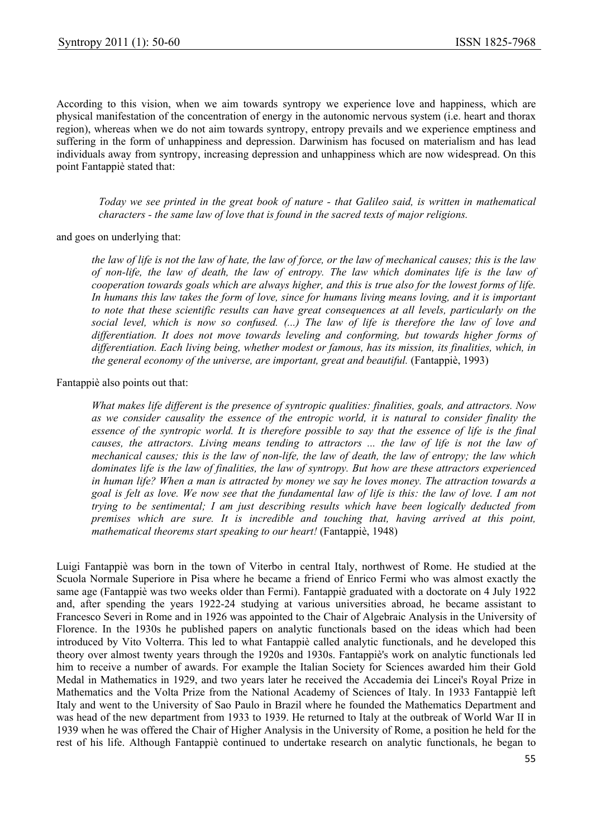According to this vision, when we aim towards syntropy we experience love and happiness, which are physical manifestation of the concentration of energy in the autonomic nervous system (i.e. heart and thorax region), whereas when we do not aim towards syntropy, entropy prevails and we experience emptiness and suffering in the form of unhappiness and depression. Darwinism has focused on materialism and has lead individuals away from syntropy, increasing depression and unhappiness which are now widespread. On this point Fantappiè stated that:

*Today we see printed in the great book of nature - that Galileo said, is written in mathematical characters - the same law of love that is found in the sacred texts of major religions.*

and goes on underlying that:

*the law of life is not the law of hate, the law of force, or the law of mechanical causes; this is the law of non-life, the law of death, the law of entropy. The law which dominates life is the law of cooperation towards goals which are always higher, and this is true also for the lowest forms of life. In humans this law takes the form of love, since for humans living means loving, and it is important to note that these scientific results can have great consequences at all levels, particularly on the social level, which is now so confused. (...) The law of life is therefore the law of love and differentiation. It does not move towards leveling and conforming, but towards higher forms of differentiation. Each living being, whether modest or famous, has its mission, its finalities, which, in the general economy of the universe, are important, great and beautiful.* (Fantappiè, 1993)

Fantappiè also points out that:

*What makes life different is the presence of syntropic qualities: finalities, goals, and attractors. Now as we consider causality the essence of the entropic world, it is natural to consider finality the essence of the syntropic world. It is therefore possible to say that the essence of life is the final causes, the attractors. Living means tending to attractors ... the law of life is not the law of mechanical causes; this is the law of non-life, the law of death, the law of entropy; the law which dominates life is the law of finalities, the law of syntropy. But how are these attractors experienced in human life? When a man is attracted by money we say he loves money. The attraction towards a goal is felt as love. We now see that the fundamental law of life is this: the law of love. I am not trying to be sentimental; I am just describing results which have been logically deducted from premises which are sure. It is incredible and touching that, having arrived at this point, mathematical theorems start speaking to our heart!* (Fantappiè, 1948)

Luigi Fantappiè was born in the town of Viterbo in central Italy, northwest of Rome. He studied at the Scuola Normale Superiore in Pisa where he became a friend of Enrico Fermi who was almost exactly the same age (Fantappiè was two weeks older than Fermi). Fantappiè graduated with a doctorate on 4 July 1922 and, after spending the years 1922-24 studying at various universities abroad, he became assistant to Francesco Severi in Rome and in 1926 was appointed to the Chair of Algebraic Analysis in the University of Florence. In the 1930s he published papers on analytic functionals based on the ideas which had been introduced by Vito Volterra. This led to what Fantappiè called analytic functionals, and he developed this theory over almost twenty years through the 1920s and 1930s. Fantappiè's work on analytic functionals led him to receive a number of awards. For example the Italian Society for Sciences awarded him their Gold Medal in Mathematics in 1929, and two years later he received the Accademia dei Lincei's Royal Prize in Mathematics and the Volta Prize from the National Academy of Sciences of Italy. In 1933 Fantappiè left Italy and went to the University of Sao Paulo in Brazil where he founded the Mathematics Department and was head of the new department from 1933 to 1939. He returned to Italy at the outbreak of World War II in 1939 when he was offered the Chair of Higher Analysis in the University of Rome, a position he held for the rest of his life. Although Fantappiè continued to undertake research on analytic functionals, he began to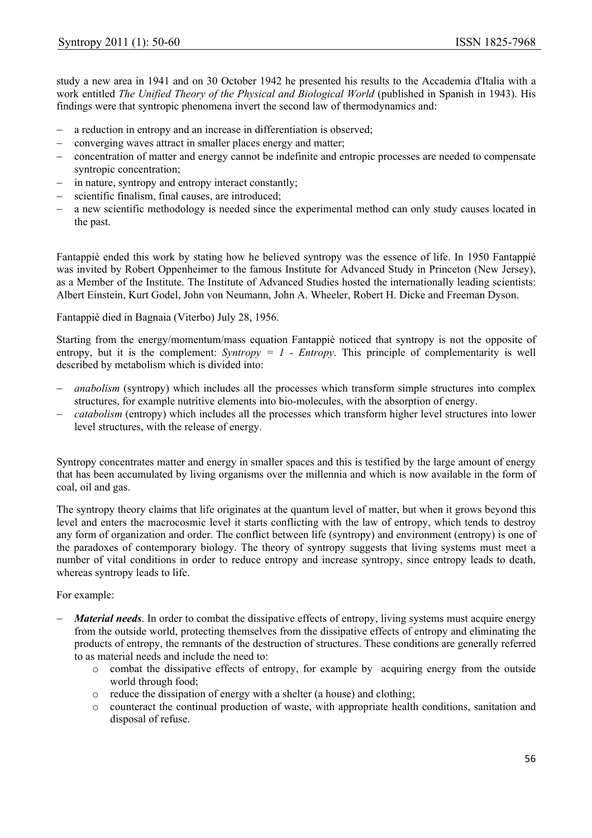study a new area in 1941 and on 30 October 1942 he presented his results to the Accademia d'Italia with a work entitled *The Unified Theory of the Physical and Biological World* (published in Spanish in 1943). His findings were that syntropic phenomena invert the second law of thermodynamics and:

- − a reduction in entropy and an increase in differentiation is observed;
- − converging waves attract in smaller places energy and matter;
- − concentration of matter and energy cannot be indefinite and entropic processes are needed to compensate syntropic concentration;
- − in nature, syntropy and entropy interact constantly;
- scientific finalism, final causes, are introduced;
- a new scientific methodology is needed since the experimental method can only study causes located in the past.

Fantappiè ended this work by stating how he believed syntropy was the essence of life. In 1950 Fantappiè was invited by Robert Oppenheimer to the famous Institute for Advanced Study in Princeton (New Jersey), as a Member of the Institute. The Institute of Advanced Studies hosted the internationally leading scientists: Albert Einstein, Kurt Godel, John von Neumann, John A. Wheeler, Robert H. Dicke and Freeman Dyson.

Fantappiè died in Bagnaia (Viterbo) July 28, 1956.

Starting from the energy/momentum/mass equation Fantappiè noticed that syntropy is not the opposite of entropy, but it is the complement:  $Syntropy = 1$  - *Entropy*. This principle of complementarity is well described by metabolism which is divided into:

- *anabolism* (syntropy) which includes all the processes which transform simple structures into complex structures, for example nutritive elements into bio-molecules, with the absorption of energy.
- *catabolism* (entropy) which includes all the processes which transform higher level structures into lower level structures, with the release of energy.

Syntropy concentrates matter and energy in smaller spaces and this is testified by the large amount of energy that has been accumulated by living organisms over the millennia and which is now available in the form of coal, oil and gas.

The syntropy theory claims that life originates at the quantum level of matter, but when it grows beyond this level and enters the macrocosmic level it starts conflicting with the law of entropy, which tends to destroy any form of organization and order. The conflict between life (syntropy) and environment (entropy) is one of the paradoxes of contemporary biology. The theory of syntropy suggests that living systems must meet a number of vital conditions in order to reduce entropy and increase syntropy, since entropy leads to death, whereas syntropy leads to life.

For example:

- *Material needs*. In order to combat the dissipative effects of entropy, living systems must acquire energy from the outside world, protecting themselves from the dissipative effects of entropy and eliminating the products of entropy, the remnants of the destruction of structures. These conditions are generally referred to as material needs and include the need to:
	- o combat the dissipative effects of entropy, for example by acquiring energy from the outside world through food;
	- o reduce the dissipation of energy with a shelter (a house) and clothing;
	- o counteract the continual production of waste, with appropriate health conditions, sanitation and disposal of refuse.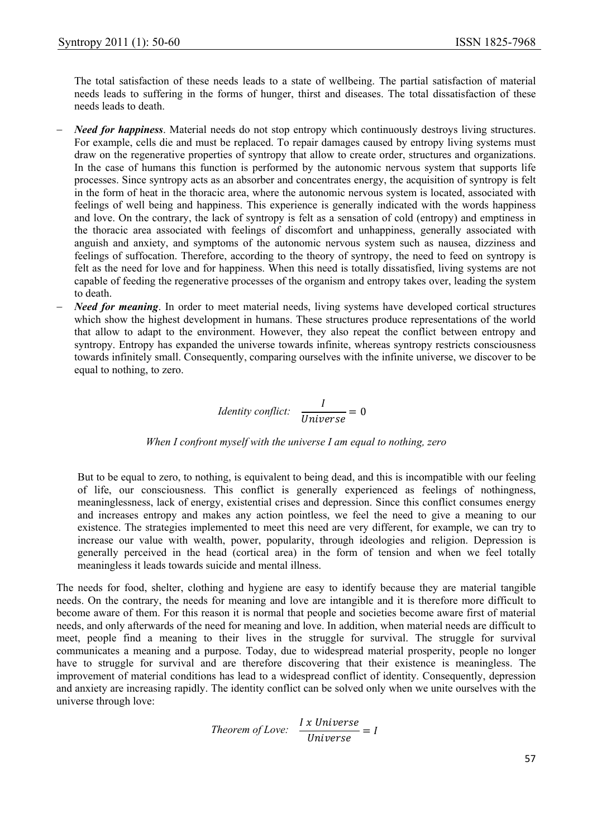The total satisfaction of these needs leads to a state of wellbeing. The partial satisfaction of material needs leads to suffering in the forms of hunger, thirst and diseases. The total dissatisfaction of these needs leads to death.

- *Need for happiness*. Material needs do not stop entropy which continuously destroys living structures. For example, cells die and must be replaced. To repair damages caused by entropy living systems must draw on the regenerative properties of syntropy that allow to create order, structures and organizations. In the case of humans this function is performed by the autonomic nervous system that supports life processes. Since syntropy acts as an absorber and concentrates energy, the acquisition of syntropy is felt in the form of heat in the thoracic area, where the autonomic nervous system is located, associated with feelings of well being and happiness. This experience is generally indicated with the words happiness and love. On the contrary, the lack of syntropy is felt as a sensation of cold (entropy) and emptiness in the thoracic area associated with feelings of discomfort and unhappiness, generally associated with anguish and anxiety, and symptoms of the autonomic nervous system such as nausea, dizziness and feelings of suffocation. Therefore, according to the theory of syntropy, the need to feed on syntropy is felt as the need for love and for happiness. When this need is totally dissatisfied, living systems are not capable of feeding the regenerative processes of the organism and entropy takes over, leading the system to death.
- *Need for meaning*. In order to meet material needs, living systems have developed cortical structures which show the highest development in humans. These structures produce representations of the world that allow to adapt to the environment. However, they also repeat the conflict between entropy and syntropy. Entropy has expanded the universe towards infinite, whereas syntropy restricts consciousness towards infinitely small. Consequently, comparing ourselves with the infinite universe, we discover to be equal to nothing, to zero.

Identity conflict: 
$$
\frac{I}{Universe} = 0
$$

#### *When I confront myself with the universe I am equal to nothing, zero*

But to be equal to zero, to nothing, is equivalent to being dead, and this is incompatible with our feeling of life, our consciousness. This conflict is generally experienced as feelings of nothingness, meaninglessness, lack of energy, existential crises and depression. Since this conflict consumes energy and increases entropy and makes any action pointless, we feel the need to give a meaning to our existence. The strategies implemented to meet this need are very different, for example, we can try to increase our value with wealth, power, popularity, through ideologies and religion. Depression is generally perceived in the head (cortical area) in the form of tension and when we feel totally meaningless it leads towards suicide and mental illness.

The needs for food, shelter, clothing and hygiene are easy to identify because they are material tangible needs. On the contrary, the needs for meaning and love are intangible and it is therefore more difficult to become aware of them. For this reason it is normal that people and societies become aware first of material needs, and only afterwards of the need for meaning and love. In addition, when material needs are difficult to meet, people find a meaning to their lives in the struggle for survival. The struggle for survival communicates a meaning and a purpose. Today, due to widespread material prosperity, people no longer have to struggle for survival and are therefore discovering that their existence is meaningless. The improvement of material conditions has lead to a widespread conflict of identity. Consequently, depression and anxiety are increasing rapidly. The identity conflict can be solved only when we unite ourselves with the universe through love:

Theorem of Love: 
$$
\frac{I \times Universe}{Universe} = I
$$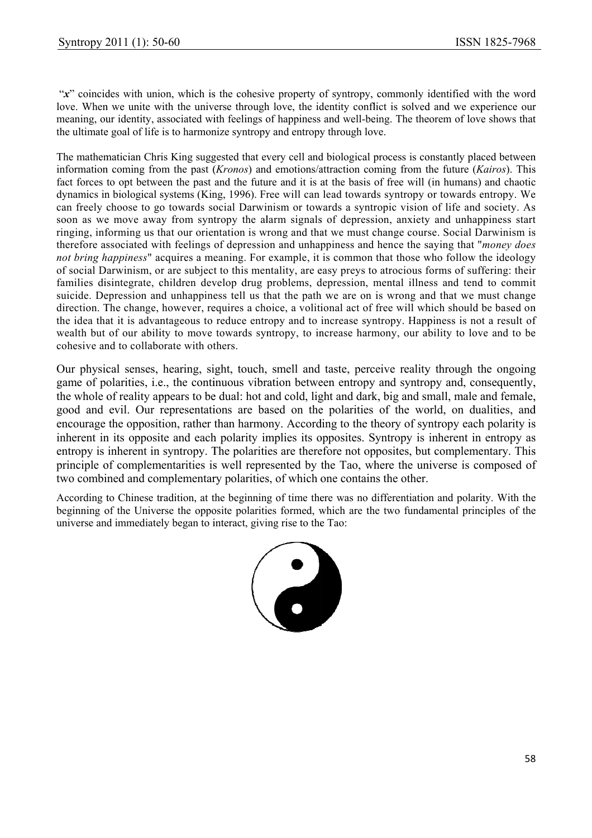"x" coincides with union, which is the cohesive property of syntropy, commonly identified with the word love. When we unite with the universe through love, the identity conflict is solved and we experience our meaning, our identity, associated with feelings of happiness and well-being. The theorem of love shows that the ultimate goal of life is to harmonize syntropy and entropy through love.

The mathematician Chris King suggested that every cell and biological process is constantly placed between information coming from the past (*Kronos*) and emotions/attraction coming from the future (*Kairos*). This fact forces to opt between the past and the future and it is at the basis of free will (in humans) and chaotic dynamics in biological systems (King, 1996). Free will can lead towards syntropy or towards entropy. We can freely choose to go towards social Darwinism or towards a syntropic vision of life and society. As soon as we move away from syntropy the alarm signals of depression, anxiety and unhappiness start ringing, informing us that our orientation is wrong and that we must change course. Social Darwinism is therefore associated with feelings of depression and unhappiness and hence the saying that "*money does* not bring happiness" acquires a meaning. For example, it is common that those who follow the ideology of social Darwinism, or are subject to this mentality, are easy preys to atrocious forms of suffering: their families disintegrate, children develop drug problems, depression, mental illness and tend to commit suicide. Depression and unhappiness tell us that the path we are on is wrong and that we must change direction. The change, however, requires a choice, a volitional act of free will which should be based on the idea that it is advantageous to reduce entropy and to increase syntropy. Happiness is not a result of wealth but of our ability to move towards syntropy, to increase harmony, our ability to love and to be cohesive and to collaborate with others. 8drtn scests

Our physical senses, hearing, sight, touch, smell and taste, perceive reality through the ongoing game of polarities, i.e., the continuous vibration between entropy and syntropy and, consequently, the whole of reality appears to be dual: hot and cold, light and dark, big and small, male and female, good and evil. Our representations are based on the polarities of the world, on dualities, and encourage the opposition, rather than harmony. According to the theory of syntropy each polarity is inherent in its opposite and each polarity implies its opposites. Syntropy is inherent in entropy as entropy is inherent in syntropy. The polarities are therefore not opposites, but complementary. This principle of complementarities is well represented by the Tao, where the universe is composed of two combined and complementary polarities, of which one contains the other. y ir it ie n of eer geg zij die gegen die van die voormalige van die van die van die van die van die van die van die van die van die van die van die van die van die van die van die van die van die van die van die van die v

According to Chinese tradition, at the beginning of time there was no differentiation and polarity. With the beginning of the Universe the opposite polarities formed, which are the two fundamental principles of the universe and immediately began to interact, giving rise to the Tao:

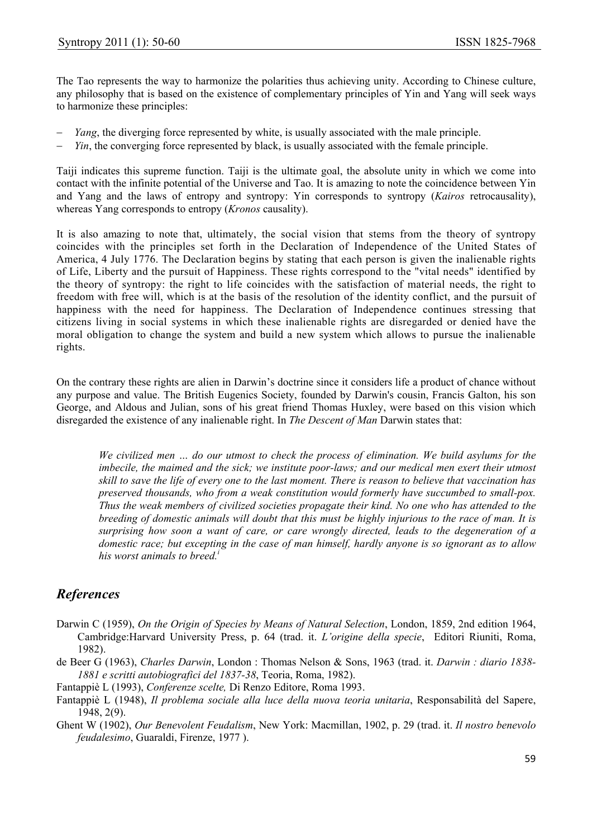The Tao represents the way to harmonize the polarities thus achieving unity. According to Chinese culture, any philosophy that is based on the existence of complementary principles of Yin and Yang will seek ways to harmonize these principles:

- *Yang*, the diverging force represented by white, is usually associated with the male principle.
- *Yin*, the converging force represented by black, is usually associated with the female principle.

Taiji indicates this supreme function. Taiji is the ultimate goal, the absolute unity in which we come into contact with the infinite potential of the Universe and Tao. It is amazing to note the coincidence between Yin and Yang and the laws of entropy and syntropy: Yin corresponds to syntropy (*Kairos* retrocausality), whereas Yang corresponds to entropy (*Kronos* causality).

It is also amazing to note that, ultimately, the social vision that stems from the theory of syntropy coincides with the principles set forth in the Declaration of Independence of the United States of America, 4 July 1776. The Declaration begins by stating that each person is given the inalienable rights of Life, Liberty and the pursuit of Happiness. These rights correspond to the "vital needs" identified by the theory of syntropy: the right to life coincides with the satisfaction of material needs, the right to freedom with free will, which is at the basis of the resolution of the identity conflict, and the pursuit of happiness with the need for happiness. The Declaration of Independence continues stressing that citizens living in social systems in which these inalienable rights are disregarded or denied have the moral obligation to change the system and build a new system which allows to pursue the inalienable rights.

On the contrary these rights are alien in Darwin's doctrine since it considers life a product of chance without any purpose and value. The British Eugenics Society, founded by Darwin's cousin, Francis Galton, his son George, and Aldous and Julian, sons of his great friend Thomas Huxley, were based on this vision which disregarded the existence of any inalienable right. In *The Descent of Man* Darwin states that:

*We civilized men … do our utmost to check the process of elimination. We build asylums for the imbecile, the maimed and the sick; we institute poor-laws; and our medical men exert their utmost skill to save the life of every one to the last moment. There is reason to believe that vaccination has preserved thousands, who from a weak constitution would formerly have succumbed to small-pox. Thus the weak members of civilized societies propagate their kind. No one who has attended to the breeding of domestic animals will doubt that this must be highly injurious to the race of man. It is surprising how soon a want of care, or care wrongly directed, leads to the degeneration of a domestic race; but excepting in the case of man himself, hardly anyone is so ignorant as to allow his worst animals to breed.<sup>i</sup>*

### *References*

- Darwin C (1959), *On the Origin of Species by Means of Natural Selection*, London, 1859, 2nd edition 1964, Cambridge:Harvard University Press, p. 64 (trad. it. *L'origine della specie*, Editori Riuniti, Roma, 1982).
- de Beer G (1963), *Charles Darwin*, London : Thomas Nelson & Sons, 1963 (trad. it. *Darwin : diario 1838- 1881 e scritti autobiografici del 1837-38*, Teoria, Roma, 1982).
- Fantappiè L (1993), *Conferenze scelte,* Di Renzo Editore, Roma 1993.
- Fantappiè L (1948), *Il problema sociale alla luce della nuova teoria unitaria*, Responsabilità del Sapere, 1948, 2(9).
- Ghent W (1902), *Our Benevolent Feudalism*, New York: Macmillan, 1902, p. 29 (trad. it. *Il nostro benevolo feudalesimo*, Guaraldi, Firenze, 1977 ).